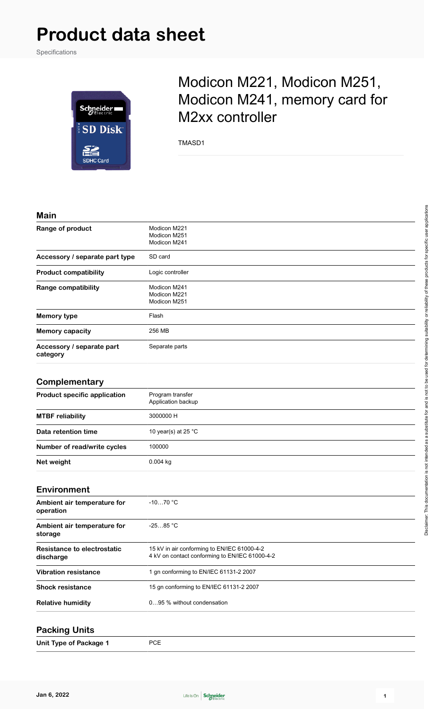# **Product data sheet**

Specifications



## Modicon M221, Modicon M251, Modicon M241, memory card for M2xx controller

TMASD1

#### **Main**

| waw                                   |                                              |
|---------------------------------------|----------------------------------------------|
| Range of product                      | Modicon M221<br>Modicon M251<br>Modicon M241 |
| Accessory / separate part type        | SD card                                      |
| <b>Product compatibility</b>          | Logic controller                             |
| Range compatibility                   | Modicon M241<br>Modicon M221<br>Modicon M251 |
| <b>Memory type</b>                    | Flash                                        |
| <b>Memory capacity</b>                | 256 MB                                       |
| Accessory / separate part<br>category | Separate parts                               |

#### **Complementary**

| <b>Product specific application</b> | Program transfer<br>Application backup |
|-------------------------------------|----------------------------------------|
| <b>MTBF</b> reliability             | 3000000 H                              |
| Data retention time                 | 10 year(s) at 25 $^{\circ}$ C          |
| Number of read/write cycles         | 100000                                 |
| Net weight                          | $0.004$ kg                             |

#### **Environment Ambient air temperature for operation** -10…70 °C **Ambient air temperature for storage** -25…85 °C **Resistance to electrostatic discharge** 15 kV in air conforming to EN/IEC 61000-4-2 4 kV on contact conforming to EN/IEC 61000-4-2 **Vibration resistance** 1 gn conforming to EN/IEC 61131-2 2007 **Shock resistance** 15 gn conforming to EN/IEC 61131-2 2007

**Relative humidity** 0…95 % without condensation

#### **Packing Units**

**Unit Type of Package 1** PCE